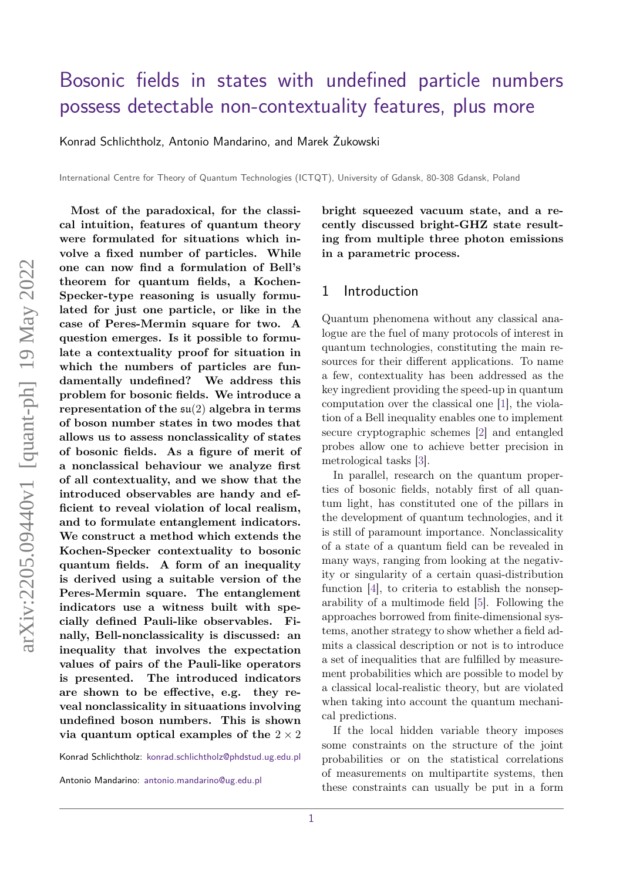# [Bosonic fields in states with undefined particle numbers](https://quantum-journal.org/?s=Bosonic%20fields%20in%20states%20with%20undefined%20particle%20numbers%20possess%20detectable%20non-contextuality%20features,%20plus%20more&reason=title-click) [possess detectable non-contextuality features, plus more](https://quantum-journal.org/?s=Bosonic%20fields%20in%20states%20with%20undefined%20particle%20numbers%20possess%20detectable%20non-contextuality%20features,%20plus%20more&reason=title-click)

[Konrad Schlichtholz,](https://orcid.org/0000-0001-8094-7373) [Antonio Mandarino,](https://orcid.org/0000-0003-3745-5204) and [Marek Żukowski](https://orcid.org/0000-0003-3745-5204)

International Centre for Theory of Quantum Technologies (ICTQT), University of Gdansk, 80-308 Gdansk, Poland

**Most of the paradoxical, for the classical intuition, features of quantum theory were formulated for situations which involve a fixed number of particles. While one can now find a formulation of Bell's theorem for quantum fields, a Kochen-Specker-type reasoning is usually formulated for just one particle, or like in the case of Peres-Mermin square for two. A question emerges. Is it possible to formulate a contextuality proof for situation in which the numbers of particles are fundamentally undefined? We address this problem for bosonic fields. We introduce a representation of the** su(2) **algebra in terms of boson number states in two modes that allows us to assess nonclassicality of states of bosonic fields. As a figure of merit of a nonclassical behaviour we analyze first of all contextuality, and we show that the introduced observables are handy and efficient to reveal violation of local realism, and to formulate entanglement indicators. We construct a method which extends the Kochen-Specker contextuality to bosonic quantum fields. A form of an inequality is derived using a suitable version of the Peres-Mermin square. The entanglement indicators use a witness built with specially defined Pauli-like observables. Finally, Bell-nonclassicality is discussed: an inequality that involves the expectation values of pairs of the Pauli-like operators is presented. The introduced indicators are shown to be effective, e.g. they reveal nonclassicality in situaations involving undefined boson numbers. This is shown via quantum optical examples of the** 2 × 2

Konrad Schlichtholz: [konrad.schlichtholz@phdstud.ug.edu.pl](mailto:konrad.schlichtholz@phdstud.ug.edu.pl)

Antonio Mandarino: [antonio.mandarino@ug.edu.pl](mailto:antonio.mandarino@ug.edu.pl)

**bright squeezed vacuum state, and a recently discussed bright-GHZ state resulting from multiple three photon emissions in a parametric process.**

#### 1 Introduction

Quantum phenomena without any classical analogue are the fuel of many protocols of interest in quantum technologies, constituting the main resources for their different applications. To name a few, contextuality has been addressed as the key ingredient providing the speed-up in quantum computation over the classical one [\[1\]](#page-10-0), the violation of a Bell inequality enables one to implement secure cryptographic schemes [\[2\]](#page-10-1) and entangled probes allow one to achieve better precision in metrological tasks [\[3\]](#page-10-2).

In parallel, research on the quantum properties of bosonic fields, notably first of all quantum light, has constituted one of the pillars in the development of quantum technologies, and it is still of paramount importance. Nonclassicality of a state of a quantum field can be revealed in many ways, ranging from looking at the negativity or singularity of a certain quasi-distribution function [\[4\]](#page-10-3), to criteria to establish the nonseparability of a multimode field [\[5\]](#page-10-4). Following the approaches borrowed from finite-dimensional systems, another strategy to show whether a field admits a classical description or not is to introduce a set of inequalities that are fulfilled by measurement probabilities which are possible to model by a classical local-realistic theory, but are violated when taking into account the quantum mechanical predictions.

If the local hidden variable theory imposes some constraints on the structure of the joint probabilities or on the statistical correlations of measurements on multipartite systems, then these constraints can usually be put in a form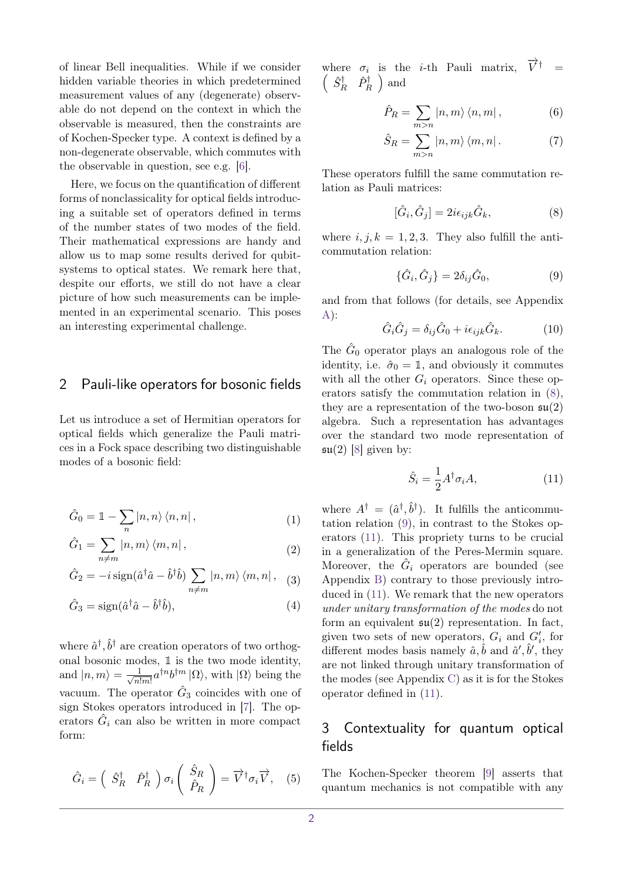of linear Bell inequalities. While if we consider hidden variable theories in which predetermined measurement values of any (degenerate) observable do not depend on the context in which the observable is measured, then the constraints are of Kochen-Specker type. A context is defined by a non-degenerate observable, which commutes with the observable in question, see e.g. [\[6\]](#page-10-5).

Here, we focus on the quantification of different forms of nonclassicality for optical fields introducing a suitable set of operators defined in terms of the number states of two modes of the field. Their mathematical expressions are handy and allow us to map some results derived for qubitsystems to optical states. We remark here that, despite our efforts, we still do not have a clear picture of how such measurements can be implemented in an experimental scenario. This poses an interesting experimental challenge.

#### <span id="page-1-4"></span>2 Pauli-like operators for bosonic fields

Let us introduce a set of Hermitian operators for optical fields which generalize the Pauli matrices in a Fock space describing two distinguishable modes of a bosonic field:

$$
\hat{G}_0 = \mathbb{1} - \sum_n |n, n\rangle \langle n, n|,
$$
\n(1)

$$
\hat{G}_1 = \sum_{n \neq m} |n, m\rangle \langle m, n|,
$$
\n(2)

$$
\hat{G}_2 = -i \operatorname{sign}(\hat{a}^\dagger \hat{a} - \hat{b}^\dagger \hat{b}) \sum_{n \neq m} |n, m\rangle \langle m, n| \,, \quad (3)
$$

$$
\hat{G}_3 = \text{sign}(\hat{a}^\dagger \hat{a} - \hat{b}^\dagger \hat{b}),\tag{4}
$$

where  $\hat{a}^{\dagger}, \hat{b}^{\dagger}$  are creation operators of two orthogonal bosonic modes,  $\mathbbm{1}$  is the two mode identity, and  $|n,m\rangle = \frac{1}{\sqrt{1-\mu}}$  $\frac{1}{n!m!}a^{\dagger n}b^{\dagger m}|\Omega\rangle$ , with  $|\Omega\rangle$  being the vacuum. The operator  $\hat{G}_3$  coincides with one of sign Stokes operators introduced in [\[7\]](#page-10-6). The operators  $\hat{G}_i$  can also be written in more compact form:

<span id="page-1-5"></span>
$$
\hat{G}_i = \begin{pmatrix} \hat{S}_R^\dagger & \hat{P}_R^\dagger \end{pmatrix} \sigma_i \begin{pmatrix} \hat{S}_R \\ \hat{P}_R \end{pmatrix} = \overrightarrow{V}^\dagger \sigma_i \overrightarrow{V}, \quad (5)
$$

where  $\sigma_i$  is the *i*-th Pauli matrix,  $\vec{V}^{\dagger}$  =  $\left(\begin{array}{cc} \hat{S}^{\dagger}_{R} & \hat{P}^{\dagger}_{R} \end{array}\right)$  and

$$
\hat{P}_R = \sum_{m>n} |n,m\rangle \langle n,m| \,, \tag{6}
$$

$$
\hat{S}_R = \sum_{m>n} |n,m\rangle \langle m,n| \,. \tag{7}
$$

These operators fulfill the same commutation relation as Pauli matrices:

<span id="page-1-0"></span>
$$
[\hat{G}_i, \hat{G}_j] = 2i\epsilon_{ijk}\hat{G}_k, \tag{8}
$$

where  $i, j, k = 1, 2, 3$ . They also fulfill the anticommutation relation:

<span id="page-1-1"></span>
$$
\{\hat{G}_i, \hat{G}_j\} = 2\delta_{ij}\hat{G}_0,\tag{9}
$$

and from that follows (for details, see Appendix  $A)$ :

<span id="page-1-3"></span>
$$
\hat{G}_i \hat{G}_j = \delta_{ij} \hat{G}_0 + i \epsilon_{ijk} \hat{G}_k.
$$
 (10)

The  $\hat{G}_0$  operator plays an analogous role of the identity, i.e.  $\hat{\sigma}_0 = \mathbb{1}$ , and obviously it commutes with all the other  $G_i$  operators. Since these operators satisfy the commutation relation in [\(8\)](#page-1-0), they are a representation of the two-boson  $\mathfrak{su}(2)$ algebra. Such a representation has advantages over the standard two mode representation of  $\mathfrak{su}(2)$  [\[8\]](#page-10-7) given by:

<span id="page-1-2"></span>
$$
\hat{S}_i = \frac{1}{2} A^\dagger \sigma_i A,\tag{11}
$$

where  $A^{\dagger} = (\hat{a}^{\dagger}, \hat{b}^{\dagger})$ . It fulfills the anticommutation relation [\(9\)](#page-1-1), in contrast to the Stokes operators [\(11\)](#page-1-2). This propriety turns to be crucial in a generalization of the Peres-Mermin square. Moreover, the  $\hat{G}_i$  operators are bounded (see Appendix [B\)](#page-9-0) contrary to those previously introduced in [\(11\)](#page-1-2). We remark that the new operators *under unitary transformation of the modes* do not form an equivalent  $\mathfrak{su}(2)$  representation. In fact, given two sets of new operators,  $G_i$  and  $G'_i$ , for different modes basis namely  $\hat{a}, \hat{b}$  and  $\hat{a}', \hat{b}',$  they are not linked through unitary transformation of the modes (see Appendix [C\)](#page-9-1) as it is for the Stokes operator defined in [\(11\)](#page-1-2).

## 3 Contextuality for quantum optical fields

The Kochen-Specker theorem [\[9\]](#page-10-8) asserts that quantum mechanics is not compatible with any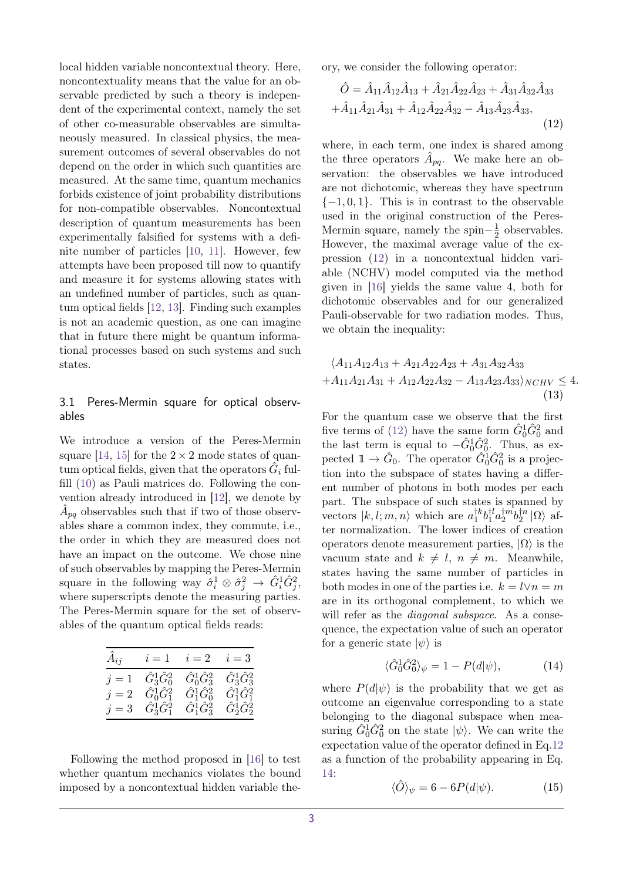local hidden variable noncontextual theory. Here, noncontextuality means that the value for an observable predicted by such a theory is independent of the experimental context, namely the set of other co-measurable observables are simultaneously measured. In classical physics, the measurement outcomes of several observables do not depend on the order in which such quantities are measured. At the same time, quantum mechanics forbids existence of joint probability distributions for non-compatible observables. Noncontextual description of quantum measurements has been experimentally falsified for systems with a definite number of particles [\[10,](#page-10-9) [11\]](#page-10-10). However, few attempts have been proposed till now to quantify and measure it for systems allowing states with an undefined number of particles, such as quantum optical fields [\[12,](#page-10-11) [13\]](#page-10-12). Finding such examples is not an academic question, as one can imagine that in future there might be quantum informational processes based on such systems and such states.

#### 3.1 Peres-Mermin square for optical observables

We introduce a version of the Peres-Mermin square [\[14,](#page-10-13) [15\]](#page-10-14) for the  $2 \times 2$  mode states of quan- $\tt{tum}$  optical fields, given that the operators  $\hat{G}_i$  fulfill [\(10\)](#page-1-3) as Pauli matrices do. Following the convention already introduced in [\[12\]](#page-10-11), we denote by  $\hat{A}_{pq}$  observables such that if two of those observables share a common index, they commute, i.e., the order in which they are measured does not have an impact on the outcome. We chose nine of such observables by mapping the Peres-Mermin square in the following way  $\hat{\sigma}_i^1 \otimes \hat{\sigma}_j^2 \rightarrow \hat{G}_i^1 \hat{G}_j^2$ , where superscripts denote the measuring parties. The Peres-Mermin square for the set of observables of the quantum optical fields reads:

| $\tilde{A}_{ij}$ |                         | $i = 1$ $i = 2$ $i = 3$          |                                  |
|------------------|-------------------------|----------------------------------|----------------------------------|
| $j=1$            | $\hat G_3^1 \hat G_0^2$ | $\hat G_0^1 \hat G_3^2$          | $\hat{G}_{3}^{1}\hat{G}_{3}^{2}$ |
| $j=2$            | $\hat G_0^1 \hat G_1^2$ | $\hat{G}_{1}^{1}\hat{G}_{0}^{2}$ | $\hat{G}_{1}^{1}\hat{G}_{1}^{2}$ |
| $j=3$            | $\hat G_3^1 \hat G_1^2$ | $\hat{G}_{1}^{1}\hat{G}_{3}^{2}$ | $\hat G_2^1 \hat G_2^2$          |

Following the method proposed in [\[16\]](#page-10-15) to test whether quantum mechanics violates the bound imposed by a noncontextual hidden variable theory, we consider the following operator:

<span id="page-2-0"></span>
$$
\hat{O} = \hat{A}_{11}\hat{A}_{12}\hat{A}_{13} + \hat{A}_{21}\hat{A}_{22}\hat{A}_{23} + \hat{A}_{31}\hat{A}_{32}\hat{A}_{33} \n+ \hat{A}_{11}\hat{A}_{21}\hat{A}_{31} + \hat{A}_{12}\hat{A}_{22}\hat{A}_{32} - \hat{A}_{13}\hat{A}_{23}\hat{A}_{33},
$$
\n(12)

where, in each term, one index is shared among the three operators  $\hat{A}_{pq}$ . We make here an observation: the observables we have introduced are not dichotomic, whereas they have spectrum {−1*,* 0*,* 1}. This is in contrast to the observable used in the original construction of the Peres-Mermin square, namely the spin $-\frac{1}{2}$  $\frac{1}{2}$  observables. However, the maximal average value of the expression [\(12\)](#page-2-0) in a noncontextual hidden variable (NCHV) model computed via the method given in [\[16\]](#page-10-15) yields the same value 4, both for dichotomic observables and for our generalized Pauli-observable for two radiation modes. Thus, we obtain the inequality:

<span id="page-2-2"></span>
$$
\langle A_{11}A_{12}A_{13} + A_{21}A_{22}A_{23} + A_{31}A_{32}A_{33} + A_{11}A_{21}A_{31} + A_{12}A_{22}A_{32} - A_{13}A_{23}A_{33}\rangle_{NCHV} \le 4.
$$
\n(13)

For the quantum case we observe that the first five terms of [\(12\)](#page-2-0) have the same form  $\hat{G}_0^1 \hat{G}_0^2$  and the last term is equal to  $-\hat{G}_0^1 \hat{G}_0^2$ . Thus, as expected  $1 \rightarrow \hat{G}_0$ . The operator  $\hat{G}_0^{\dagger} \hat{G}_0^2$  is a projection into the subspace of states having a different number of photons in both modes per each part. The subspace of such states is spanned by vectors  $|k, l; m, n\rangle$  which are  $a_1^{\dagger k}$  $\binom{1}{1}^k b_1^{\dagger l}$  $a_1^{\dagger l}a_2^{\dagger m}$  $\frac{\dagger m}{2}b_2^{\dagger n}$  $S_2^{\uparrow n}|\Omega\rangle$  after normalization. The lower indices of creation operators denote measurement parties,  $|\Omega\rangle$  is the vacuum state and  $k \neq l$ ,  $n \neq m$ . Meanwhile, states having the same number of particles in both modes in one of the parties i.e.  $k = l \vee n = m$ are in its orthogonal complement, to which we will refer as the *diagonal subspace*. As a consequence, the expectation value of such an operator for a generic state  $|\psi\rangle$  is

<span id="page-2-1"></span>
$$
\langle \hat{G}_0^1 \hat{G}_0^2 \rangle_{\psi} = 1 - P(d|\psi), \tag{14}
$$

where  $P(d|\psi)$  is the probability that we get as outcome an eigenvalue corresponding to a state belonging to the diagonal subspace when measuring  $\hat{G}_0^1 \hat{G}_0^2$  on the state  $|\psi\rangle$ . We can write the expectation value of the operator defined in Eq[.12](#page-2-0) as a function of the probability appearing in Eq. [14:](#page-2-1)

$$
\langle \hat{O} \rangle_{\psi} = 6 - 6P(d|\psi). \tag{15}
$$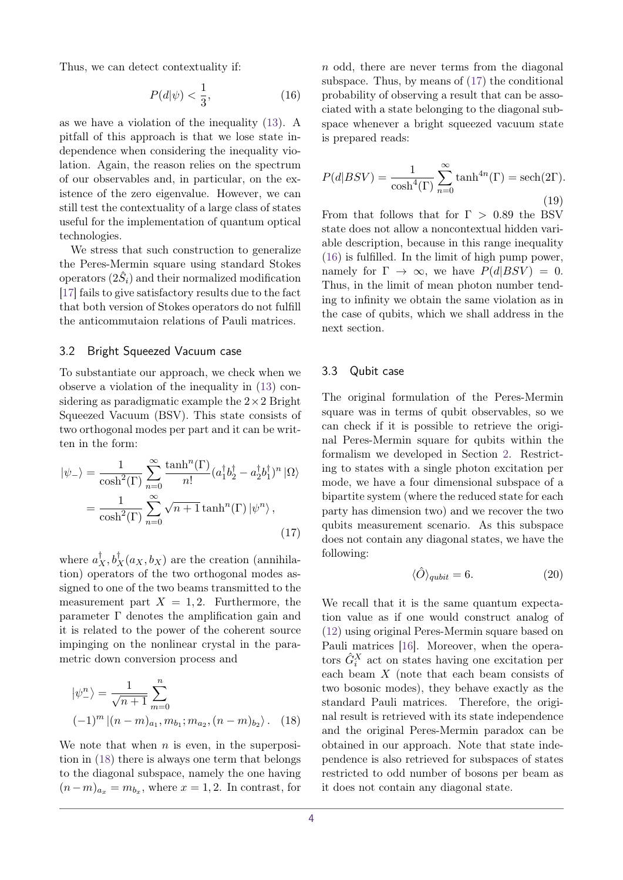Thus, we can detect contextuality if:

<span id="page-3-2"></span>
$$
P(d|\psi) < \frac{1}{3},\tag{16}
$$

as we have a violation of the inequality [\(13\)](#page-2-2). A pitfall of this approach is that we lose state independence when considering the inequality violation. Again, the reason relies on the spectrum of our observables and, in particular, on the existence of the zero eigenvalue. However, we can still test the contextuality of a large class of states useful for the implementation of quantum optical technologies.

We stress that such construction to generalize the Peres-Mermin square using standard Stokes  $\text{operators}~(2\hat{S}_i)$  and their normalized modification [\[17\]](#page-10-16) fails to give satisfactory results due to the fact that both version of Stokes operators do not fulfill the anticommutaion relations of Pauli matrices.

#### 3.2 Bright Squeezed Vacuum case

To substantiate our approach, we check when we observe a violation of the inequality in [\(13\)](#page-2-2) considering as paradigmatic example the  $2 \times 2$  Bright Squeezed Vacuum (BSV). This state consists of two orthogonal modes per part and it can be written in the form:

$$
|\psi_{-}\rangle = \frac{1}{\cosh^{2}(\Gamma)} \sum_{n=0}^{\infty} \frac{\tanh^{n}(\Gamma)}{n!} (a_{1}^{\dagger} b_{2}^{\dagger} - a_{2}^{\dagger} b_{1}^{\dagger})^{n} |\Omega\rangle
$$

$$
= \frac{1}{\cosh^{2}(\Gamma)} \sum_{n=0}^{\infty} \sqrt{n+1} \tanh^{n}(\Gamma) |\psi^{n}\rangle ,
$$
(17)

where  $a_X^{\dagger}, b_X^{\dagger}(a_X, b_X)$  are the creation (annihilation) operators of the two orthogonal modes assigned to one of the two beams transmitted to the measurement part  $X = 1, 2$ . Furthermore, the parameter  $\Gamma$  denotes the amplification gain and it is related to the power of the coherent source impinging on the nonlinear crystal in the parametric down conversion process and

$$
|\psi_{-}^{n}\rangle = \frac{1}{\sqrt{n+1}} \sum_{m=0}^{n}
$$
  

$$
(-1)^{m} |(n-m)_{a_1}, m_{b_1}; m_{a_2}, (n-m)_{b_2}\rangle.
$$
 (18)

We note that when *n* is even, in the superposition in [\(18\)](#page-3-0) there is always one term that belongs to the diagonal subspace, namely the one having  $(n-m)_{a_x} = m_{b_x}$ , where  $x = 1, 2$ . In contrast, for

*n* odd, there are never terms from the diagonal subspace. Thus, by means of [\(17\)](#page-3-1) the conditional probability of observing a result that can be associated with a state belonging to the diagonal subspace whenever a bright squeezed vacuum state is prepared reads:

$$
P(d|BSV) = \frac{1}{\cosh^4(\Gamma)} \sum_{n=0}^{\infty} \tanh^{4n}(\Gamma) = \text{sech}(2\Gamma).
$$
\n(19)

From that follows that for Γ *>* 0*.*89 the BSV state does not allow a noncontextual hidden variable description, because in this range inequality [\(16\)](#page-3-2) is fulfilled. In the limit of high pump power, namely for  $\Gamma \to \infty$ , we have  $P(d|BSV) = 0$ . Thus, in the limit of mean photon number tending to infinity we obtain the same violation as in the case of qubits, which we shall address in the next section.

#### 3.3 Qubit case

The original formulation of the Peres-Mermin square was in terms of qubit observables, so we can check if it is possible to retrieve the original Peres-Mermin square for qubits within the formalism we developed in Section [2.](#page-1-4) Restricting to states with a single photon excitation per mode, we have a four dimensional subspace of a bipartite system (where the reduced state for each party has dimension two) and we recover the two qubits measurement scenario. As this subspace does not contain any diagonal states, we have the following:

$$
\langle \hat{O} \rangle_{qubit} = 6. \tag{20}
$$

<span id="page-3-1"></span><span id="page-3-0"></span>We recall that it is the same quantum expectation value as if one would construct analog of [\(12\)](#page-2-0) using original Peres-Mermin square based on Pauli matrices [\[16\]](#page-10-15). Moreover, when the operators  $\hat{G}_i^X$  act on states having one excitation per each beam *X* (note that each beam consists of two bosonic modes), they behave exactly as the standard Pauli matrices. Therefore, the original result is retrieved with its state independence and the original Peres-Mermin paradox can be obtained in our approach. Note that state independence is also retrieved for subspaces of states restricted to odd number of bosons per beam as it does not contain any diagonal state.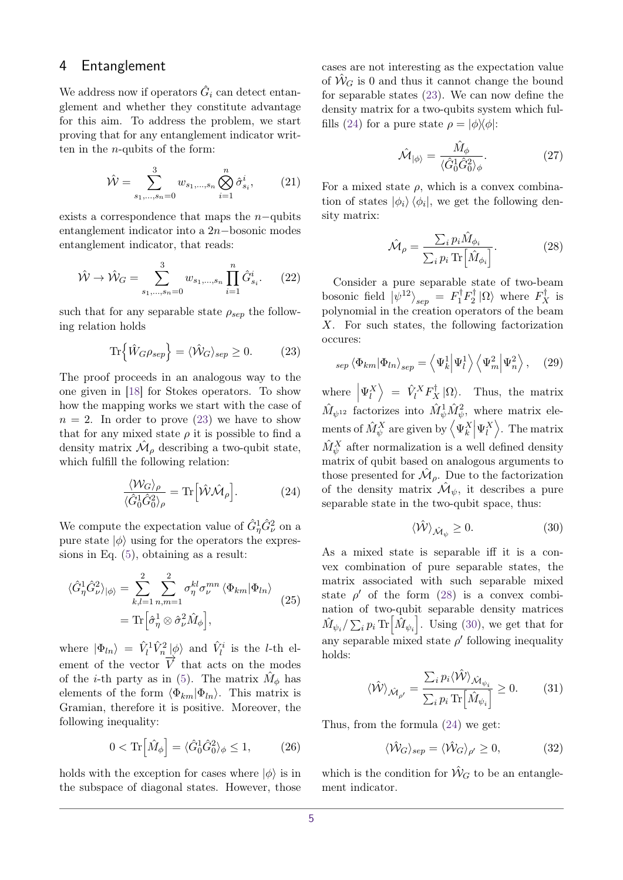### 4 Entanglement

We address now if operators  $\hat{G}_i$  can detect entanglement and whether they constitute advantage for this aim. To address the problem, we start proving that for any entanglement indicator written in the *n*-qubits of the form:

$$
\hat{\mathcal{W}} = \sum_{s_1, \dots, s_n = 0}^{3} w_{s_1, \dots, s_n} \bigotimes_{i=1}^{n} \hat{\sigma}_{s_i}^i, \qquad (21)
$$

exists a correspondence that maps the *n*−qubits entanglement indicator into a 2*n*−bosonic modes entanglement indicator, that reads:

<span id="page-4-4"></span>
$$
\hat{\mathcal{W}} \to \hat{\mathcal{W}}_G = \sum_{s_1, \dots, s_n = 0}^{3} w_{s_1, \dots, s_n} \prod_{i=1}^{n} \hat{G}_{s_i}^i.
$$
 (22)

such that for any separable state  $\rho_{sep}$  the following relation holds

<span id="page-4-0"></span>
$$
\text{Tr}\left\{\hat{W}_{G}\rho_{sep}\right\} = \langle \hat{\mathcal{W}}_{G}\rangle_{sep} \ge 0. \tag{23}
$$

The proof proceeds in an analogous way to the one given in [\[18\]](#page-10-17) for Stokes operators. To show how the mapping works we start with the case of  $n = 2$ . In order to prove [\(23\)](#page-4-0) we have to show that for any mixed state  $\rho$  it is possible to find a density matrix  $\hat{\mathcal{M}}_{\rho}$  describing a two-qubit state, which fulfill the following relation:

<span id="page-4-1"></span>
$$
\frac{\langle \mathcal{W}_G \rangle_{\rho}}{\langle \hat{G}_0^1 \hat{G}_0^2 \rangle_{\rho}} = \text{Tr} \left[ \hat{\mathcal{W}} \hat{\mathcal{M}}_{\rho} \right]. \tag{24}
$$

We compute the expectation value of  $\hat{G}_{\eta}^1 \hat{G}_{\nu}^2$  on a pure state  $|\phi\rangle$  using for the operators the expressions in Eq. [\(5\)](#page-1-5), obtaining as a result:

$$
\langle \hat{G}_{\eta}^{1} \hat{G}_{\nu}^{2} \rangle_{|\phi\rangle} = \sum_{k,l=1}^{2} \sum_{n,m=1}^{2} \sigma_{\eta}^{kl} \sigma_{\nu}^{mn} \langle \Phi_{km} | \Phi_{ln} \rangle
$$
  
= Tr  $\left[ \hat{\sigma}_{\eta}^{1} \otimes \hat{\sigma}_{\nu}^{2} \hat{M}_{\phi} \right],$  (25)

where  $|\Phi_{ln}\rangle = \hat{V}_l^1 \hat{V}_n^2 |\phi\rangle$  and  $\hat{V}_l^i$  is the *l*-th element of the vector  $\overrightarrow{V}$  that acts on the modes of the *i*-th party as in [\(5\)](#page-1-5). The matrix  $\hat{M}_{\phi}$  has elements of the form  $\langle \Phi_{km} | \Phi_{ln} \rangle$ . This matrix is Gramian, therefore it is positive. Moreover, the following inequality:

$$
0 < \operatorname{Tr}\left[\hat{M}_{\phi}\right] = \langle \hat{G}_0^1 \hat{G}_0^2 \rangle_{\phi} \le 1,\tag{26}
$$

holds with the exception for cases where  $|\phi\rangle$  is in the subspace of diagonal states. However, those

cases are not interesting as the expectation value of  $\hat{W}_G$  is 0 and thus it cannot change the bound for separable states [\(23\)](#page-4-0). We can now define the density matrix for a two-qubits system which ful-fills [\(24\)](#page-4-1) for a pure state  $\rho = |\phi\rangle\langle\phi|$ :

$$
\hat{\mathcal{M}}_{|\phi\rangle} = \frac{\hat{M}_{\phi}}{\langle \hat{G}_0^1 \hat{G}_0^2 \rangle_{\phi}}.
$$
\n(27)

For a mixed state  $\rho$ , which is a convex combination of states  $|\phi_i\rangle \langle \phi_i|$ , we get the following density matrix:

<span id="page-4-2"></span>
$$
\hat{\mathcal{M}}_{\rho} = \frac{\sum_{i} p_{i} \hat{M}_{\phi_{i}}}{\sum_{i} p_{i} \operatorname{Tr} \left[ \hat{M}_{\phi_{i}} \right]}.
$$
\n(28)

Consider a pure separable state of two-beam bosonic field  $|\psi^{12}\rangle_{sep} = F_1^{\dagger}F_2^{\dagger}$  $\binom{1}{2}$  | $\Omega$  where  $F_X^{\dagger}$  is polynomial in the creation operators of the beam *X*. For such states, the following factorization occures:

$$
_{sep} \langle \Phi_{km} | \Phi_{ln} \rangle_{sep} = \langle \Psi_k^1 | \Psi_l^1 \rangle \langle \Psi_m^2 | \Psi_n^2 \rangle, \quad (29)
$$

where  $|\Psi_l^X\rangle = \hat{V}_l^X F_X^{\dagger} |\Omega\rangle$ . Thus, the matrix  $\hat{M}_{\psi^{12}}$  factorizes into  $\hat{M}_{\psi}^1 \hat{M}_{\psi}^2$ , where matrix elements of  $\hat{M}_{\psi}^{X}$  are given by  $\langle \Psi_{k}^{X} | \Psi_{l}^{X} \rangle$ . The matrix  $\hat{M}_{\psi}^{X}$  after normalization is a well defined density matrix of qubit based on analogous arguments to those presented for  $\hat{\mathcal{M}}_{\rho}$ . Due to the factorization of the density matrix  $\mathcal{\hat{M}}_{\psi}$ , it describes a pure separable state in the two-qubit space, thus:

<span id="page-4-3"></span>
$$
\langle \hat{\mathcal{W}} \rangle_{\hat{\mathcal{M}}_{\psi}} \ge 0. \tag{30}
$$

As a mixed state is separable iff it is a convex combination of pure separable states, the matrix associated with such separable mixed state  $\rho'$  of the form [\(28\)](#page-4-2) is a convex combination of two-qubit separable density matrices  $\hat{M}_{\psi_i}/\sum_i p_i \text{Tr}\left[\hat{M}_{\psi_i}\right]$ . Using [\(30\)](#page-4-3), we get that for any separable mixed state  $\rho'$  following inequality holds:

$$
\langle \hat{\mathcal{W}} \rangle_{\hat{\mathcal{M}}_{\rho'}} = \frac{\sum_{i} p_i \langle \hat{\mathcal{W}} \rangle_{\hat{\mathcal{M}}_{\psi_i}}}{\sum_{i} p_i \operatorname{Tr} \left[ \hat{M}_{\psi_i} \right]} \ge 0. \tag{31}
$$

Thus, from the formula [\(24\)](#page-4-1) we get:

$$
\langle \hat{\mathcal{W}}_G \rangle_{sep} = \langle \hat{\mathcal{W}}_G \rangle_{\rho'} \ge 0, \tag{32}
$$

which is the condition for  $\hat{W}_G$  to be an entanglement indicator.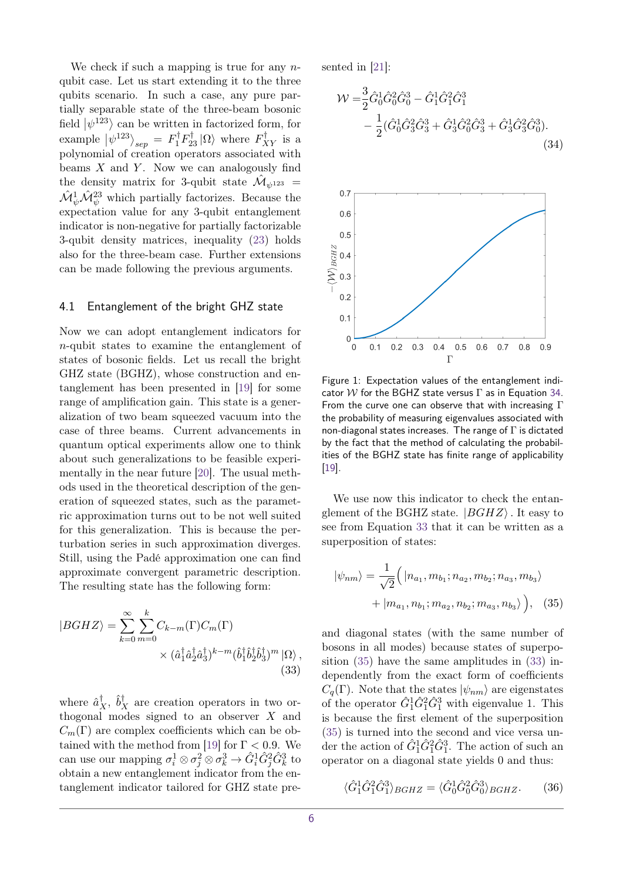We check if such a mapping is true for any *n*qubit case. Let us start extending it to the three qubits scenario. In such a case, any pure partially separable state of the three-beam bosonic field  $|\psi^{123}\rangle$  can be written in factorized form, for example  $|\psi^{123}\rangle_{sep} = F_1^{\dagger} F_{23}^{\dagger} |\Omega\rangle$  where  $F_{XY}^{\dagger}$  is a polynomial of creation operators associated with beams *X* and *Y* . Now we can analogously find the density matrix for 3-qubit state  $\hat{\mathcal{M}}_{\psi^{123}} =$  $\hat{\mathcal{M}}_{\psi}^{1} \hat{\mathcal{M}}_{\psi}^{23}$  which partially factorizes. Because the expectation value for any 3-qubit entanglement indicator is non-negative for partially factorizable 3-qubit density matrices, inequality [\(23\)](#page-4-0) holds also for the three-beam case. Further extensions can be made following the previous arguments.

#### <span id="page-5-5"></span>4.1 Entanglement of the bright GHZ state

Now we can adopt entanglement indicators for *n*-qubit states to examine the entanglement of states of bosonic fields. Let us recall the bright GHZ state (BGHZ), whose construction and entanglement has been presented in [\[19\]](#page-10-18) for some range of amplification gain. This state is a generalization of two beam squeezed vacuum into the case of three beams. Current advancements in quantum optical experiments allow one to think about such generalizations to be feasible experimentally in the near future [\[20\]](#page-10-19). The usual methods used in the theoretical description of the generation of squeezed states, such as the parametric approximation turns out to be not well suited for this generalization. This is because the perturbation series in such approximation diverges. Still, using the Padé approximation one can find approximate convergent parametric description. The resulting state has the following form:

$$
|BGHZ\rangle = \sum_{k=0}^{\infty} \sum_{m=0}^{k} C_{k-m}(\Gamma) C_m(\Gamma)
$$

$$
\times (\hat{a}_1^{\dagger} \hat{a}_2^{\dagger} \hat{a}_3^{\dagger})^{k-m} (\hat{b}_1^{\dagger} \hat{b}_2^{\dagger} \hat{b}_3^{\dagger})^m |\Omega\rangle ,
$$
(33)

where  $\hat{a}_X^{\dagger}$ ,  $\hat{b}_X^{\dagger}$  are creation operators in two orthogonal modes signed to an observer *X* and  $C_m(\Gamma)$  are complex coefficients which can be ob-tained with the method from [\[19\]](#page-10-18) for  $\Gamma < 0.9$ . We can use our mapping  $\sigma_i^1 \otimes \sigma_j^2 \otimes \sigma_k^3 \to \hat{G}_i^1 \hat{G}_j^2 \hat{G}_k^3$  to obtain a new entanglement indicator from the entanglement indicator tailored for GHZ state presented in [\[21\]](#page-10-20):

<span id="page-5-0"></span>
$$
\mathcal{W} = \frac{3}{2} \hat{G}_0^1 \hat{G}_0^2 \hat{G}_0^3 - \hat{G}_1^1 \hat{G}_1^2 \hat{G}_1^3 - \frac{1}{2} (\hat{G}_0^1 \hat{G}_3^2 \hat{G}_3^3 + \hat{G}_3^1 \hat{G}_0^2 \hat{G}_3^3 + \hat{G}_3^1 \hat{G}_3^2 \hat{G}_0^3).
$$
\n(34)

<span id="page-5-3"></span>

Figure 1: Expectation values of the entanglement indicator W for the BGHZ state versus  $\Gamma$  as in Equation [34.](#page-5-0) From the curve one can observe that with increasing Γ the probability of measuring eigenvalues associated with non-diagonal states increases. The range of  $\Gamma$  is dictated by the fact that the method of calculating the probabilities of the BGHZ state has finite range of applicability [\[19\]](#page-10-18).

We use now this indicator to check the entanglement of the BGHZ state.  $|BGHZ\rangle$ . It easy to see from Equation [33](#page-5-1) that it can be written as a superposition of states:

<span id="page-5-2"></span>
$$
|\psi_{nm}\rangle = \frac{1}{\sqrt{2}} \Big( |n_{a_1}, m_{b_1}; n_{a_2}, m_{b_2}; n_{a_3}, m_{b_3}\rangle + |m_{a_1}, n_{b_1}; m_{a_2}, n_{b_2}; m_{a_3}, n_{b_3}\rangle \Big), \quad (35)
$$

<span id="page-5-1"></span>and diagonal states (with the same number of bosons in all modes) because states of superposition [\(35\)](#page-5-2) have the same amplitudes in [\(33\)](#page-5-1) independently from the exact form of coefficients  $C_q(\Gamma)$ . Note that the states  $|\psi_{nm}\rangle$  are eigenstates of the operator  $\hat{G}_1^1 \hat{G}_1^2 \hat{G}_1^3$  with eigenvalue 1. This is because the first element of the superposition [\(35\)](#page-5-2) is turned into the second and vice versa under the action of  $\hat{G}_1^1 \hat{G}_1^2 \hat{G}_1^3$ . The action of such an operator on a diagonal state yields 0 and thus:

<span id="page-5-4"></span>
$$
\langle \hat{G}_1^1 \hat{G}_1^2 \hat{G}_1^3 \rangle_{BGHZ} = \langle \hat{G}_0^1 \hat{G}_0^2 \hat{G}_0^3 \rangle_{BGHZ}.\tag{36}
$$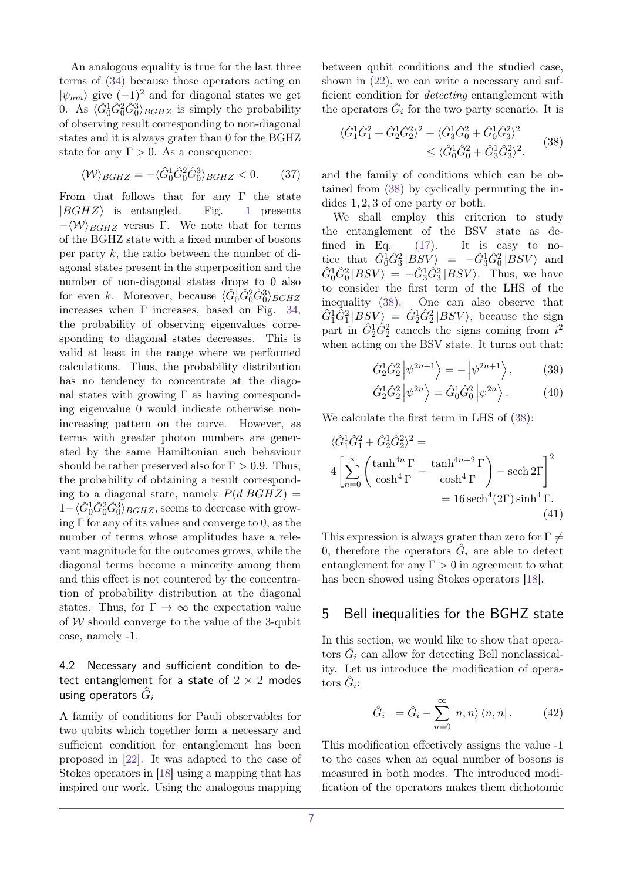An analogous equality is true for the last three terms of [\(34\)](#page-5-0) because those operators acting on  $|\psi_{nm}\rangle$  give  $(-1)^2$  and for diagonal states we get 0. As  $\langle \hat{G}_0^1 \hat{G}_0^2 \hat{G}_0^3 \rangle_{BGHZ}$  is simply the probability of observing result corresponding to non-diagonal states and it is always grater than 0 for the BGHZ state for any  $\Gamma > 0$ . As a consequence:

$$
\langle \mathcal{W} \rangle_{BGHZ} = -\langle \hat{G}_0^1 \hat{G}_0^2 \hat{G}_0^3 \rangle_{BGHZ} < 0. \tag{37}
$$

From that follows that for any  $\Gamma$  the state  $|BGHZ\rangle$  is entangled. Fig. [1](#page-5-3) presents  $-\langle W \rangle_{BGHZ}$  versus Γ. We note that for terms of the BGHZ state with a fixed number of bosons per party *k*, the ratio between the number of diagonal states present in the superposition and the number of non-diagonal states drops to 0 also for even *k*. Moreover, because  $\langle \hat{G}_0^1 \hat{G}_0^2 \hat{G}_0^3 \rangle_{BGHZ}$ increases when  $\Gamma$  increases, based on Fig. [34,](#page-5-0) the probability of observing eigenvalues corresponding to diagonal states decreases. This is valid at least in the range where we performed calculations. Thus, the probability distribution has no tendency to concentrate at the diagonal states with growing  $\Gamma$  as having corresponding eigenvalue 0 would indicate otherwise nonincreasing pattern on the curve. However, as terms with greater photon numbers are generated by the same Hamiltonian such behaviour should be rather preserved also for  $\Gamma > 0.9$ . Thus, the probability of obtaining a result corresponding to a diagonal state, namely  $P(d|BGHZ)$  =  $1 - \langle \hat{G}_0^1 \hat{G}_0^2 \hat{G}_0^3 \rangle_{BGHZ}$ , seems to decrease with growing  $\Gamma$  for any of its values and converge to 0, as the number of terms whose amplitudes have a relevant magnitude for the outcomes grows, while the diagonal terms become a minority among them and this effect is not countered by the concentration of probability distribution at the diagonal states. Thus, for  $\Gamma \to \infty$  the expectation value of  $W$  should converge to the value of the 3-qubit case, namely -1.

#### 4.2 Necessary and sufficient condition to detect entanglement for a state of  $2 \times 2$  modes using operators  $\hat{G}_i$

A family of conditions for Pauli observables for two qubits which together form a necessary and sufficient condition for entanglement has been proposed in [\[22\]](#page-10-21). It was adapted to the case of Stokes operators in [\[18\]](#page-10-17) using a mapping that has inspired our work. Using the analogous mapping between qubit conditions and the studied case, shown in [\(22\)](#page-4-4), we can write a necessary and sufficient condition for *detecting* entanglement with the operators  $\hat{G}_i$  for the two party scenario. It is

<span id="page-6-0"></span>
$$
\langle \hat{G}_1^1 \hat{G}_1^2 + \hat{G}_2^1 \hat{G}_2^2 \rangle^2 + \langle \hat{G}_3^1 \hat{G}_0^2 + \hat{G}_0^1 \hat{G}_3^2 \rangle^2
$$
  
 
$$
\leq \langle \hat{G}_0^1 \hat{G}_0^2 + \hat{G}_3^1 \hat{G}_3^2 \rangle^2.
$$
 (38)

and the family of conditions which can be obtained from [\(38\)](#page-6-0) by cyclically permuting the indides 1*,* 2*,* 3 of one party or both.

We shall employ this criterion to study the entanglement of the BSV state as de-fined in Eq. [\(17\)](#page-3-1). It is easy to no- $\text{tice that} \quad \hat{G}_0^1 \hat{G}_3^2 | BSV \rangle = -\hat{G}_3^1 \hat{G}_0^2 | BSV \rangle$  and  $\hat{G}_0^1 \hat{G}_0^2 |BSV\rangle = -\hat{G}_3^1 \hat{G}_3^2 |BSV\rangle$ . Thus, we have to consider the first term of the LHS of the inequality [\(38\)](#page-6-0). One can also observe that  $\hat{G}_1^1 \hat{G}_1^2 | BSV \rangle = \hat{G}_2^1 \hat{G}_2^2 | BSV \rangle$ , because the sign part in  $\hat{G}_2^1 \hat{G}_2^2$  cancels the signs coming from  $i^2$ when acting on the BSV state. It turns out that:

$$
\hat{G}_2^1 \hat{G}_2^2 \left| \psi^{2n+1} \right\rangle = -\left| \psi^{2n+1} \right\rangle, \tag{39}
$$
\n
$$
\hat{G}_2^1 \hat{G}_2^2 \left| \psi^{2n} \right\rangle = \hat{G}_2^1 \hat{G}_2^2 \left| \psi^{2n} \right\rangle. \tag{39}
$$

$$
\hat{G}_2^1 \hat{G}_2^2 \left| \psi^{2n} \right\rangle = \hat{G}_0^1 \hat{G}_0^2 \left| \psi^{2n} \right\rangle. \tag{40}
$$

We calculate the first term in LHS of [\(38\)](#page-6-0):

$$
\langle \hat{G}_1^1 \hat{G}_1^2 + \hat{G}_2^1 \hat{G}_2^2 \rangle^2 =
$$
  
\n
$$
4 \left[ \sum_{n=0}^{\infty} \left( \frac{\tanh^{4n} \Gamma}{\cosh^4 \Gamma} - \frac{\tanh^{4n+2} \Gamma}{\cosh^4 \Gamma} \right) - \operatorname{sech} 2\Gamma \right]^2
$$
  
\n
$$
= 16 \operatorname{sech}^4(2\Gamma) \sinh^4 \Gamma.
$$
  
\n(41)

This expression is always grater than zero for  $\Gamma \neq$ 0, therefore the operators  $\hat{G}_i$  are able to detect entanglement for any  $\Gamma > 0$  in agreement to what has been showed using Stokes operators [\[18\]](#page-10-17).

### 5 Bell inequalities for the BGHZ state

In this section, we would like to show that operators  $\hat{G}_i$  can allow for detecting Bell nonclassicality. Let us introduce the modification of operators  $\hat{G}_i$ :

$$
\hat{G}_{i-} = \hat{G}_i - \sum_{n=0}^{\infty} |n, n\rangle \langle n, n|.
$$
 (42)

This modification effectively assigns the value -1 to the cases when an equal number of bosons is measured in both modes. The introduced modification of the operators makes them dichotomic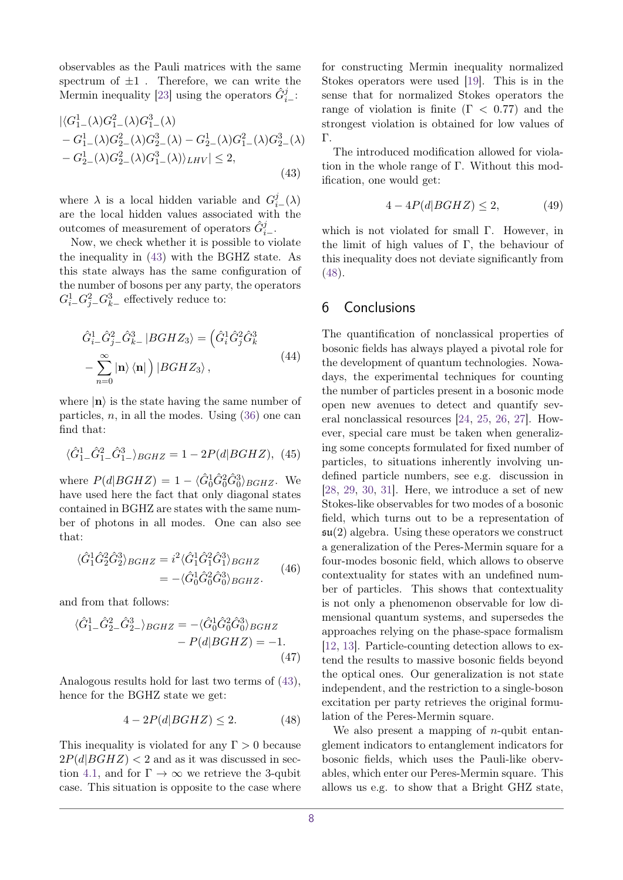observables as the Pauli matrices with the same spectrum of  $\pm 1$ . Therefore, we can write the Mermin inequality [\[23\]](#page-10-22) using the operators  $\hat{G}_{i-}^{j}$ :

$$
\begin{aligned} &|\langle G_{1-}^1(\lambda)G_{1-}^2(\lambda)G_{1-}^3(\lambda) \\ &-G_{1-}^1(\lambda)G_{2-}^2(\lambda)G_{2-}^3(\lambda) - G_{2-}^1(\lambda)G_{1-}^2(\lambda)G_{2-}^3(\lambda) \\ &-G_{2-}^1(\lambda)G_{2-}^2(\lambda)G_{1-}^3(\lambda)\rangle_{LHV}|\leq 2, \end{aligned} \tag{43}
$$

where  $\lambda$  is a local hidden variable and  $G_i^j$ <sub>i</sub>−( $\lambda$ ) are the local hidden values associated with the outcomes of measurement of operators  $\hat{G}_{i-}^{j}$ .

Now, we check whether it is possible to violate the inequality in [\(43\)](#page-7-0) with the BGHZ state. As this state always has the same configuration of the number of bosons per any party, the operators  $G_i^1$ <sub>−</sub> $G_j^2$ <sub>−</sub> $G_k^3$ <sub>−</sub> effectively reduce to:

$$
\hat{G}_{i-}^{1}\hat{G}_{j-}^{2}\hat{G}_{k-}^{3}|BGHZ_{3}\rangle = \left(\hat{G}_{i}^{1}\hat{G}_{j}^{2}\hat{G}_{k}^{3}\right) \n- \sum_{n=0}^{\infty} |\mathbf{n}\rangle \langle \mathbf{n}| \right)|BGHZ_{3}\rangle, \qquad (44)
$$

where  $|\mathbf{n}\rangle$  is the state having the same number of particles, *n*, in all the modes. Using [\(36\)](#page-5-4) one can find that:

$$
\langle \hat{G}_1^1 \_ \hat{G}_1^2 \_ \hat{G}_1^3 \_ \rangle_{BGHZ} = 1 - 2P(d|BGHZ), \tag{45}
$$

where  $P(d|BGHZ) = 1 - \langle \hat{G}_0^1 \hat{G}_0^2 \hat{G}_0^3 \rangle_{BGHZ}$ . We have used here the fact that only diagonal states contained in BGHZ are states with the same number of photons in all modes. One can also see that:

$$
\langle \hat{G}_1^1 \hat{G}_2^2 \hat{G}_2^3 \rangle_{BGHZ} = i^2 \langle \hat{G}_1^1 \hat{G}_1^2 \hat{G}_1^3 \rangle_{BGHZ} = - \langle \hat{G}_0^1 \hat{G}_0^2 \hat{G}_0^3 \rangle_{BGHZ}.
$$
(46)

and from that follows:

$$
\langle \hat{G}_1^1 \_ \hat{G}_2^2 \_ \hat{G}_2^3 \_ \rangle_{BGHZ} = - \langle \hat{G}_0^1 \hat{G}_0^2 \hat{G}_0^3 \rangle_{BGHZ} - P(d|BGHZ) = -1.
$$
\n(47)

Analogous results hold for last two terms of [\(43\)](#page-7-0), hence for the BGHZ state we get:

<span id="page-7-1"></span>
$$
4 - 2P(d|BGHZ) \le 2. \tag{48}
$$

This inequality is violated for any  $\Gamma > 0$  because  $2P(d|BGHZ) < 2$  and as it was discussed in sec-tion [4.1,](#page-5-5) and for  $\Gamma \to \infty$  we retrieve the 3-qubit case. This situation is opposite to the case where

for constructing Mermin inequality normalized Stokes operators were used [\[19\]](#page-10-18). This is in the sense that for normalized Stokes operators the range of violation is finite (Γ *<* 0*.*77) and the strongest violation is obtained for low values of Γ.

<span id="page-7-0"></span>The introduced modification allowed for violation in the whole range of Γ. Without this modification, one would get:

$$
4 - 4P(d|BGHZ) \le 2,\t(49)
$$

which is not violated for small Γ. However, in the limit of high values of Γ*,* the behaviour of this inequality does not deviate significantly from [\(48\)](#page-7-1).

#### 6 Conclusions

The quantification of nonclassical properties of bosonic fields has always played a pivotal role for the development of quantum technologies. Nowadays, the experimental techniques for counting the number of particles present in a bosonic mode open new avenues to detect and quantify several nonclassical resources [\[24,](#page-10-23) [25,](#page-11-0) [26,](#page-11-1) [27\]](#page-11-2). However, special care must be taken when generalizing some concepts formulated for fixed number of particles, to situations inherently involving undefined particle numbers, see e.g. discussion in [\[28,](#page-11-3) [29,](#page-11-4) [30,](#page-11-5) [31\]](#page-11-6). Here, we introduce a set of new Stokes-like observables for two modes of a bosonic field, which turns out to be a representation of  $\mathfrak{su}(2)$  algebra. Using these operators we construct a generalization of the Peres-Mermin square for a four-modes bosonic field, which allows to observe contextuality for states with an undefined number of particles. This shows that contextuality is not only a phenomenon observable for low dimensional quantum systems, and supersedes the approaches relying on the phase-space formalism [\[12,](#page-10-11) [13\]](#page-10-12). Particle-counting detection allows to extend the results to massive bosonic fields beyond the optical ones. Our generalization is not state independent, and the restriction to a single-boson excitation per party retrieves the original formulation of the Peres-Mermin square.

We also present a mapping of *n*-qubit entanglement indicators to entanglement indicators for bosonic fields, which uses the Pauli-like obervables, which enter our Peres-Mermin square. This allows us e.g. to show that a Bright GHZ state,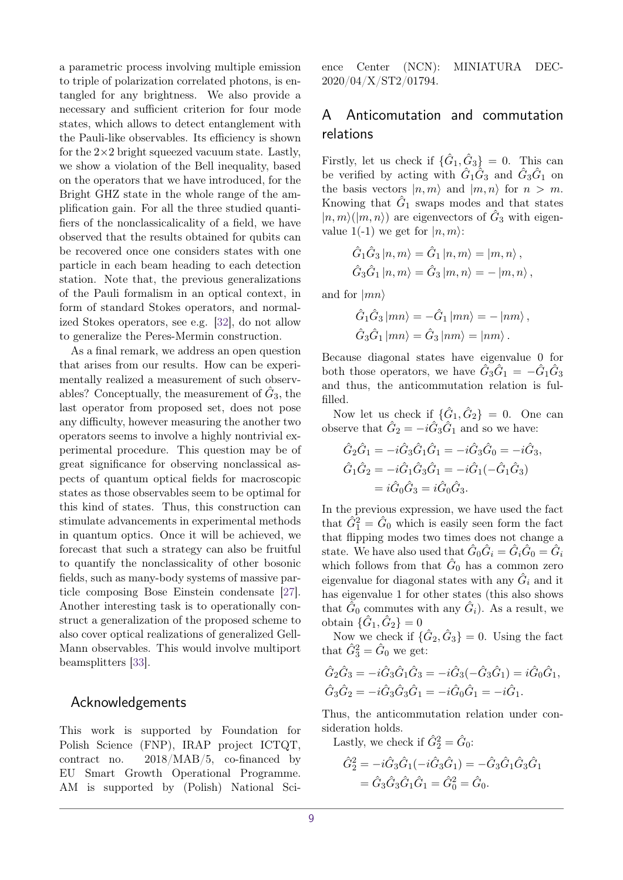a parametric process involving multiple emission to triple of polarization correlated photons, is entangled for any brightness. We also provide a necessary and sufficient criterion for four mode states, which allows to detect entanglement with the Pauli-like observables. Its efficiency is shown for the  $2\times 2$  bright squeezed vacuum state. Lastly, we show a violation of the Bell inequality, based on the operators that we have introduced, for the Bright GHZ state in the whole range of the amplification gain. For all the three studied quantifiers of the nonclassicalicality of a field, we have observed that the results obtained for qubits can be recovered once one considers states with one particle in each beam heading to each detection station. Note that, the previous generalizations of the Pauli formalism in an optical context, in form of standard Stokes operators, and normalized Stokes operators, see e.g. [\[32\]](#page-11-7), do not allow to generalize the Peres-Mermin construction.

As a final remark, we address an open question that arises from our results. How can be experimentally realized a measurement of such observables? Conceptually, the measurement of  $\hat{G}_3$ , the last operator from proposed set, does not pose any difficulty, however measuring the another two operators seems to involve a highly nontrivial experimental procedure. This question may be of great significance for observing nonclassical aspects of quantum optical fields for macroscopic states as those observables seem to be optimal for this kind of states. Thus, this construction can stimulate advancements in experimental methods in quantum optics. Once it will be achieved, we forecast that such a strategy can also be fruitful to quantify the nonclassicality of other bosonic fields, such as many-body systems of massive particle composing Bose Einstein condensate [\[27\]](#page-11-2). Another interesting task is to operationally construct a generalization of the proposed scheme to also cover optical realizations of generalized Gell-Mann observables. This would involve multiport beamsplitters [\[33\]](#page-11-8).

#### Acknowledgements

This work is supported by Foundation for Polish Science (FNP), IRAP project ICTQT, contract no. 2018/MAB/5, co-financed by EU Smart Growth Operational Programme. AM is supported by (Polish) National Science Center (NCN): MINIATURA DEC-2020/04/X/ST2/01794.

## <span id="page-8-0"></span>A Anticomutation and commutation relations

Firstly, let us check if  $\{\hat{G}_1, \hat{G}_3\} = 0$ . This can be verified by acting with  $\hat{G}_1 \hat{G}_3$  and  $\hat{G}_3 \hat{G}_1$  on the basis vectors  $|n, m\rangle$  and  $|m, n\rangle$  for  $n > m$ . Knowing that  $\hat{G}_1$  swaps modes and that states  $|n,m\rangle(|m,n\rangle)$  are eigenvectors of  $\hat{G}_3$  with eigenvalue 1(-1) we get for  $|n,m\rangle$ :

$$
\hat{G}_1 \hat{G}_3 |n, m\rangle = \hat{G}_1 |n, m\rangle = |m, n\rangle ,
$$
  

$$
\hat{G}_3 \hat{G}_1 |n, m\rangle = \hat{G}_3 |m, n\rangle = -|m, n\rangle ,
$$

and for  $|mn\rangle$ 

$$
\hat{G}_1 \hat{G}_3 |mn\rangle = -\hat{G}_1 |mn\rangle = -|nm\rangle ,\n\hat{G}_3 \hat{G}_1 |mn\rangle = \hat{G}_3 |nm\rangle = |nm\rangle .
$$

Because diagonal states have eigenvalue 0 for both those operators, we have  $\hat{G}_3 \hat{G}_1 = -\hat{G}_1 \hat{G}_3$ and thus, the anticommutation relation is fulfilled.

Now let us check if  $\{\hat{G}_1, \hat{G}_2\} = 0$ . One can observe that  $\hat{G}_2 = -i\hat{G}_3\hat{G}_1$  and so we have:

$$
\hat{G}_2\hat{G}_1 = -i\hat{G}_3\hat{G}_1\hat{G}_1 = -i\hat{G}_3\hat{G}_0 = -i\hat{G}_3,
$$
  
\n
$$
\hat{G}_1\hat{G}_2 = -i\hat{G}_1\hat{G}_3\hat{G}_1 = -i\hat{G}_1(-\hat{G}_1\hat{G}_3)
$$
  
\n
$$
= i\hat{G}_0\hat{G}_3 = i\hat{G}_0\hat{G}_3.
$$

In the previous expression, we have used the fact that  $\hat{G}_1^2 = \hat{G}_0$  which is easily seen form the fact that flipping modes two times does not change a state. We have also used that  $\hat{G}_0 \hat{G}_i = \hat{G}_i \hat{G}_0 = \hat{G}_i$ which follows from that  $\hat{G}_0$  has a common zero eigenvalue for diagonal states with any  $\hat{G}_i$  and it has eigenvalue 1 for other states (this also shows that  $\hat{G}_0$  commutes with any  $\hat{G}_i$ ). As a result, we obtain  $\{\hat{G}_1, \hat{G}_2\} = 0$ 

Now we check if  $\{\hat{G}_2, \hat{G}_3\} = 0$ . Using the fact that  $\hat{G}_3^2 = \hat{G}_0$  we get:

$$
\hat{G}_2 \hat{G}_3 = -i \hat{G}_3 \hat{G}_1 \hat{G}_3 = -i \hat{G}_3 (-\hat{G}_3 \hat{G}_1) = i \hat{G}_0 \hat{G}_1, \n\hat{G}_3 \hat{G}_2 = -i \hat{G}_3 \hat{G}_3 \hat{G}_1 = -i \hat{G}_0 \hat{G}_1 = -i \hat{G}_1.
$$

Thus, the anticommutation relation under consideration holds.

Lastly, we check if  $\hat{G}_2^2 = \hat{G}_0$ :

$$
\hat{G}_2^2 = -i\hat{G}_3\hat{G}_1(-i\hat{G}_3\hat{G}_1) = -\hat{G}_3\hat{G}_1\hat{G}_3\hat{G}_1 \n= \hat{G}_3\hat{G}_3\hat{G}_1\hat{G}_1 = \hat{G}_0^2 = \hat{G}_0.
$$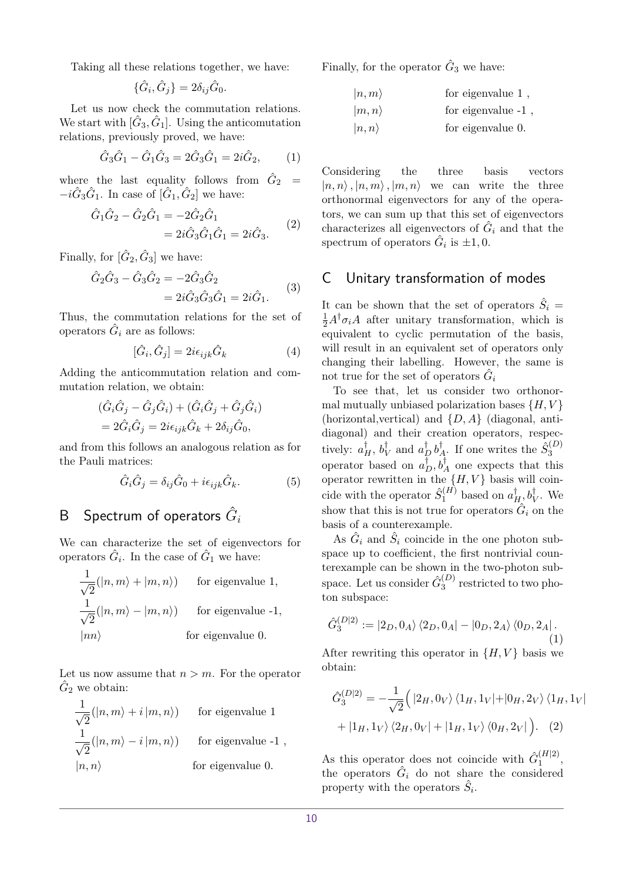Taking all these relations together, we have:

$$
\{\hat{G}_i, \hat{G}_j\} = 2\delta_{ij}\hat{G}_0.
$$

Let us now check the commutation relations. We start with  $[\hat{G}_3, \hat{G}_1]$ . Using the anticomutation relations, previously proved, we have:

$$
\hat{G}_3 \hat{G}_1 - \hat{G}_1 \hat{G}_3 = 2 \hat{G}_3 \hat{G}_1 = 2i \hat{G}_2, \qquad (1)
$$

where the last equality follows from  $\hat{G}_2$  =  $-i\hat{G}_3\hat{G}_1$ . In case of  $[\hat{G}_1, \hat{G}_2]$  we have:

$$
\hat{G}_1 \hat{G}_2 - \hat{G}_2 \hat{G}_1 = -2\hat{G}_2 \hat{G}_1 \n= 2i\hat{G}_3 \hat{G}_1 \hat{G}_1 = 2i\hat{G}_3.
$$
\n(2)

Finally, for  $[\hat{G}_2, \hat{G}_3]$  we have:

$$
\hat{G}_2 \hat{G}_3 - \hat{G}_3 \hat{G}_2 = -2\hat{G}_3 \hat{G}_2 \n= 2i\hat{G}_3 \hat{G}_3 \hat{G}_1 = 2i\hat{G}_1.
$$
\n(3)

Thus, the commutation relations for the set of operators  $\hat{G}_i$  are as follows:

$$
[\hat{G}_i, \hat{G}_j] = 2i\epsilon_{ijk}\hat{G}_k
$$
\n(4)

Adding the anticommutation relation and commutation relation, we obtain:

$$
(\hat{G}_i \hat{G}_j - \hat{G}_j \hat{G}_i) + (\hat{G}_i \hat{G}_j + \hat{G}_j \hat{G}_i)
$$
  
=  $2\hat{G}_i \hat{G}_j = 2i\epsilon_{ijk} \hat{G}_k + 2\delta_{ij} \hat{G}_0$ ,

and from this follows an analogous relation as for the Pauli matrices:

$$
\hat{G}_i \hat{G}_j = \delta_{ij} \hat{G}_0 + i \epsilon_{ijk} \hat{G}_k.
$$
 (5)

# <span id="page-9-0"></span> $\mathsf B$   $\;$  Spectrum of operators  $\hat G_i$

We can characterize the set of eigenvectors for operators  $\hat{G}_i$ . In the case of  $\hat{G}_1$  we have:

$$
\frac{1}{\sqrt{2}}(|n,m\rangle + |m,n\rangle)
$$
 for eigenvalue 1,  
\n
$$
\frac{1}{\sqrt{2}}(|n,m\rangle - |m,n\rangle)
$$
 for eigenvalue -1,  
\n
$$
|nn\rangle
$$
 for eigenvalue 0.

Let us now assume that  $n > m$ . For the operator  $\hat{G}_2$  we obtain:

$$
\frac{1}{\sqrt{2}}(|n,m\rangle + i |m,n\rangle)
$$
 for eigenvalue 1  
\n
$$
\frac{1}{\sqrt{2}}(|n,m\rangle - i |m,n\rangle)
$$
 for eigenvalue -1,  
\n
$$
|n,n\rangle
$$
 for eigenvalue 0.

Finally, for the operator  $\hat{G}_3$  we have:

| $ n,m\rangle$  | for eigenvalue $1$ , |
|----------------|----------------------|
| $ m, n\rangle$ | for eigenvalue -1,   |

$$
\begin{array}{ccc}\n\text{for eigenvalue} & \text{if} \\
\downarrow & \downarrow & \end{array}
$$

 $|n, n\rangle$  for eigenvalue 0.

Considering the three basis vectors  $|n, n\rangle$ ,  $|n, m\rangle$ ,  $|m, n\rangle$  we can write the three orthonormal eigenvectors for any of the operators, we can sum up that this set of eigenvectors characterizes all eigenvectors of  $\hat{G}_i$  and that the spectrum of operators  $\hat{G}_i$  is  $\pm 1, 0$ .

## <span id="page-9-1"></span>C Unitary transformation of modes

It can be shown that the set of operators  $\hat{S}_i$  =  $\frac{1}{2}A^{\dagger} \sigma_i A$  after unitary transformation, which is equivalent to cyclic permutation of the basis, will result in an equivalent set of operators only changing their labelling. However, the same is not true for the set of operators  $\hat{G}_i$ 

To see that, let us consider two orthonormal mutually unbiased polarization bases  $\{H, V\}$ (horizontal,vertical) and {*D, A*} (diagonal, antidiagonal) and their creation operators, respectively:  $a_H^{\dagger}$ ,  $b_V^{\dagger}$  and  $a_D^{\dagger}$   $b_J^{\dagger}$  $\hat{S}_4^{\dagger}$ . If one writes the  $\hat{S}_3^{(D)}$ 3 operator based on  $a_D^{\dagger}, b_A^{\dagger}$  one expects that this operator rewritten in the  $\{H, V\}$  basis will coincide with the operator  $\hat{S}_1^{(H)}$  based on  $a_H^{\dagger}, b_V^{\dagger}$ . We show that this is not true for operators  $\hat{G}_i$  on the basis of a counterexample.

As  $\hat{G}_i$  and  $\hat{S}_i$  coincide in the one photon subspace up to coefficient, the first nontrivial counterexample can be shown in the two-photon subspace. Let us consider  $\hat{G}_3^{(D)}$  $3^{(D)}$  restricted to two photon subspace:

$$
\hat{G}_3^{(D|2)} := |2_D, 0_A\rangle \langle 2_D, 0_A| - |0_D, 2_A\rangle \langle 0_D, 2_A|.
$$
\n(1)

After rewriting this operator in  $\{H, V\}$  basis we obtain:

$$
\hat{G}_3^{(D|2)} = -\frac{1}{\sqrt{2}} \Big( |2_H, 0_V\rangle \langle 1_H, 1_V| + |0_H, 2_V\rangle \langle 1_H, 1_V|
$$

$$
+ |1_H, 1_V\rangle \langle 2_H, 0_V| + |1_H, 1_V\rangle \langle 0_H, 2_V| \Big). \quad (2)
$$

As this operator does not coincide with  $\hat{G}_1^{(H|2)}$  $\frac{(H|2)}{1},$ the operators  $\hat{G}_i$  do not share the considered property with the operators  $\hat{S}_i$ .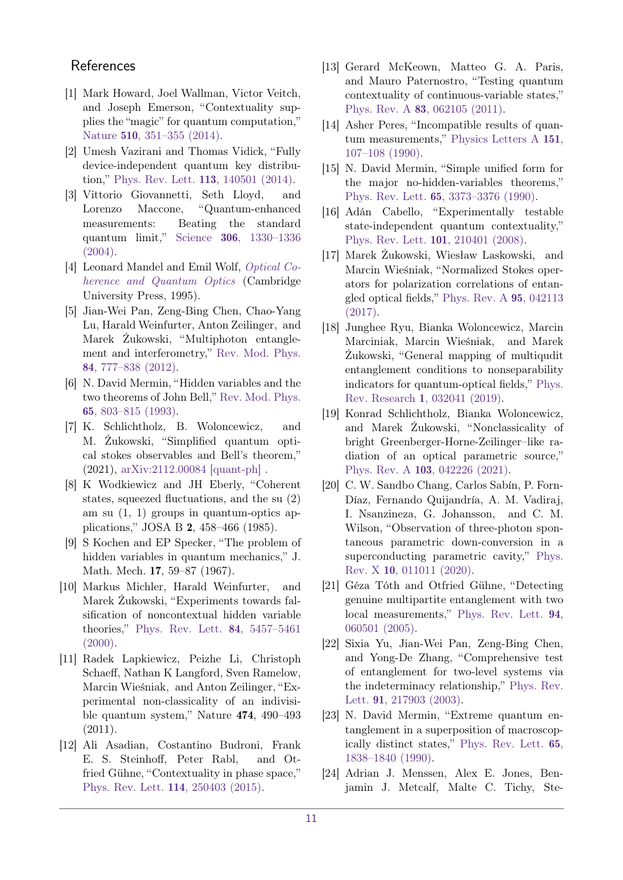## **References**

- <span id="page-10-0"></span>[1] Mark Howard, Joel Wallman, Victor Veitch, and Joseph Emerson, "Contextuality supplies the "magic" for quantum computation," Nature 510[, 351–355 \(2014\).](https://doi.org/10.1038/nature13460)
- <span id="page-10-1"></span>[2] Umesh Vazirani and Thomas Vidick, "Fully device-independent quantum key distribution," [Phys. Rev. Lett.](https://doi.org/ 10.1103/PhysRevLett.113.140501) 113, 140501 (2014).
- <span id="page-10-2"></span>[3] Vittorio Giovannetti, Seth Lloyd, and Lorenzo Maccone, "Quantum-enhanced measurements: Beating the standard quantum limit," Science 306[, 1330–1336](https://doi.org/10.1126/science.1104149) [\(2004\).](https://doi.org/10.1126/science.1104149)
- <span id="page-10-3"></span>[4] Leonard Mandel and Emil Wolf, [Optical Co](https://doi.org/10.1017/CBO9781139644105)[herence and Quantum Optics](https://doi.org/10.1017/CBO9781139644105) (Cambridge University Press, 1995).
- <span id="page-10-4"></span>[5] Jian-Wei Pan, Zeng-Bing Chen, Chao-Yang Lu, Harald Weinfurter, Anton Zeilinger, and Marek Żukowski, "Multiphoton entanglement and interferometry," [Rev. Mod. Phys.](https://doi.org/10.1103/RevModPhys.84.777) 84[, 777–838 \(2012\).](https://doi.org/10.1103/RevModPhys.84.777)
- <span id="page-10-5"></span>[6] N. David Mermin, "Hidden variables and the two theorems of John Bell," [Rev. Mod. Phys.](https://doi.org/ 10.1103/RevModPhys.65.803) 65[, 803–815 \(1993\).](https://doi.org/ 10.1103/RevModPhys.65.803)
- <span id="page-10-6"></span>[7] K. Schlichtholz, B. Woloncewicz, and M. Żukowski, "Simplified quantum optical stokes observables and Bell's theorem," (2021), [arXiv:2112.00084 \[quant-ph\]](http://arxiv.org/abs/2112.00084) .
- <span id="page-10-7"></span>[8] K Wodkiewicz and JH Eberly, "Coherent states, squeezed fluctuations, and the su (2) am su (1, 1) groups in quantum-optics applications," JOSA B 2, 458–466 (1985).
- <span id="page-10-8"></span>[9] S Kochen and EP Specker, "The problem of hidden variables in quantum mechanics," J. Math. Mech. 17, 59–87 (1967).
- <span id="page-10-9"></span>[10] Markus Michler, Harald Weinfurter, and Marek Żukowski, "Experiments towards falsification of noncontextual hidden variable theories," [Phys. Rev. Lett.](https://doi.org/10.1103/PhysRevLett.84.5457) 84, 5457–5461  $(2000).$
- <span id="page-10-10"></span>[11] Radek Lapkiewicz, Peizhe Li, Christoph Schaeff, Nathan K Langford, Sven Ramelow, Marcin Wieśniak, and Anton Zeilinger, "Experimental non-classicality of an indivisible quantum system," Nature 474, 490–493  $(2011).$
- <span id="page-10-11"></span>[12] Ali Asadian, Costantino Budroni, Frank E. S. Steinhoff, Peter Rabl, and Otfried Gühne, "Contextuality in phase space," [Phys. Rev. Lett.](https://doi.org/10.1103/PhysRevLett.114.250403) 114, 250403 (2015).
- <span id="page-10-12"></span>[13] Gerard McKeown, Matteo G. A. Paris, and Mauro Paternostro, "Testing quantum contextuality of continuous-variable states," Phys. Rev. A 83[, 062105 \(2011\).](https://doi.org/ 10.1103/PhysRevA.83.062105)
- <span id="page-10-13"></span>[14] Asher Peres, "Incompatible results of quantum measurements," [Physics Letters A](https://doi.org/ https://doi.org/10.1016/0375-9601(90)90172-K) 151, [107–108 \(1990\).](https://doi.org/ https://doi.org/10.1016/0375-9601(90)90172-K)
- <span id="page-10-14"></span>[15] N. David Mermin, "Simple unified form for the major no-hidden-variables theorems," Phys. Rev. Lett. 65[, 3373–3376 \(1990\).](https://doi.org/10.1103/PhysRevLett.65.3373)
- <span id="page-10-15"></span>[16] Adán Cabello, "Experimentally testable state-independent quantum contextuality," [Phys. Rev. Lett.](https://doi.org/ 10.1103/PhysRevLett.101.210401) 101, 210401 (2008).
- <span id="page-10-16"></span>[17] Marek Żukowski, Wiesław Laskowski, and Marcin Wieśniak, "Normalized Stokes operators for polarization correlations of entangled optical fields," [Phys. Rev. A](https://doi.org/10.1103/PhysRevA.95.042113) 95, 042113 [\(2017\).](https://doi.org/10.1103/PhysRevA.95.042113)
- <span id="page-10-17"></span>[18] Junghee Ryu, Bianka Woloncewicz, Marcin Marciniak, Marcin Wieśniak, and Marek Żukowski, "General mapping of multiqudit entanglement conditions to nonseparability indicators for quantum-optical fields," [Phys.](https://doi.org/ 10.1103/PhysRevResearch.1.032041) Rev. Research 1[, 032041 \(2019\).](https://doi.org/ 10.1103/PhysRevResearch.1.032041)
- <span id="page-10-18"></span>[19] Konrad Schlichtholz, Bianka Woloncewicz, and Marek Żukowski, "Nonclassicality of bright Greenberger-Horne-Zeilinger–like radiation of an optical parametric source," Phys. Rev. A 103[, 042226 \(2021\).](https://doi.org/10.1103/PhysRevA.103.042226)
- <span id="page-10-19"></span>[20] C. W. Sandbo Chang, Carlos Sabín, P. Forn-Díaz, Fernando Quijandría, A. M. Vadiraj, I. Nsanzineza, G. Johansson, and C. M. Wilson, "Observation of three-photon spontaneous parametric down-conversion in a superconducting parametric cavity," [Phys.](https://doi.org/ 10.1103/PhysRevX.10.011011) Rev. X 10[, 011011 \(2020\).](https://doi.org/ 10.1103/PhysRevX.10.011011)
- <span id="page-10-20"></span>[21] Géza Tóth and Otfried Gühne, "Detecting genuine multipartite entanglement with two local measurements," [Phys. Rev. Lett.](https://doi.org/10.1103/PhysRevLett.94.060501) 94, [060501 \(2005\).](https://doi.org/10.1103/PhysRevLett.94.060501)
- <span id="page-10-21"></span>[22] Sixia Yu, Jian-Wei Pan, Zeng-Bing Chen, and Yong-De Zhang, "Comprehensive test of entanglement for two-level systems via the indeterminacy relationship," [Phys. Rev.](https://doi.org/10.1103/PhysRevLett.91.217903) Lett. 91[, 217903 \(2003\).](https://doi.org/10.1103/PhysRevLett.91.217903)
- <span id="page-10-22"></span>[23] N. David Mermin, "Extreme quantum entanglement in a superposition of macroscopically distinct states," [Phys. Rev. Lett.](https://doi.org/10.1103/PhysRevLett.65.1838) 65, [1838–1840 \(1990\).](https://doi.org/10.1103/PhysRevLett.65.1838)
- <span id="page-10-23"></span>[24] Adrian J. Menssen, Alex E. Jones, Benjamin J. Metcalf, Malte C. Tichy, Ste-